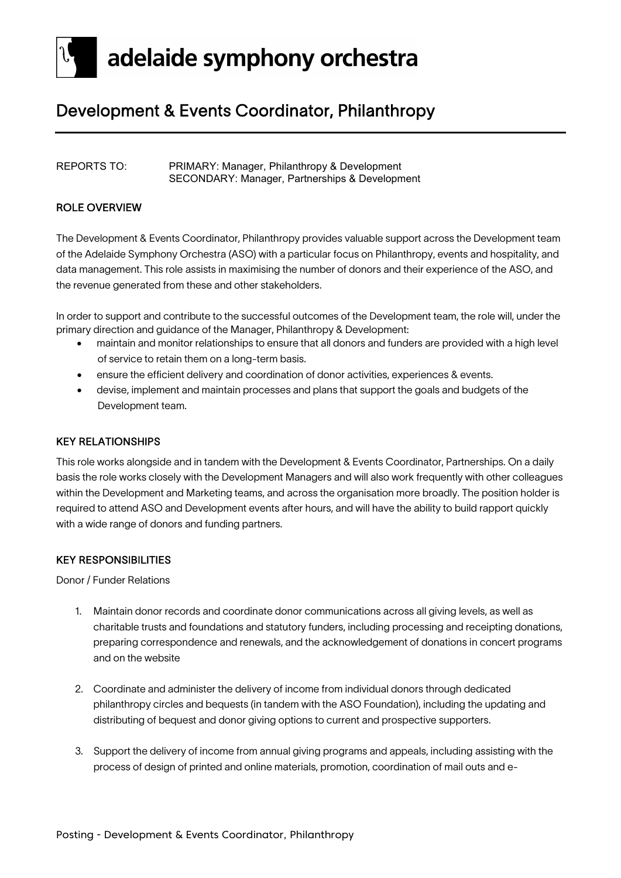

### Development & Events Coordinator, Philanthropy

#### REPORTS TO: PRIMARY: Manager, Philanthropy & Development SECONDARY: Manager, Partnerships & Development

#### ROLE OVERVIEW

The Development & Events Coordinator, Philanthropy provides valuable support across the Development team of the Adelaide Symphony Orchestra (ASO) with a particular focus on Philanthropy, events and hospitality, and data management. This role assists in maximising the number of donors and their experience of the ASO, and the revenue generated from these and other stakeholders.

In order to support and contribute to the successful outcomes of the Development team, the role will, under the primary direction and guidance of the Manager, Philanthropy & Development:

- maintain and monitor relationships to ensure that all donors and funders are provided with a high level of service to retain them on a long-term basis.
- ensure the efficient delivery and coordination of donor activities, experiences & events.
- devise, implement and maintain processes and plans that support the goals and budgets of the Development team.

#### KEY RELATIONSHIPS

This role works alongside and in tandem with the Development & Events Coordinator, Partnerships. On a daily basis the role works closely with the Development Managers and will also work frequently with other colleagues within the Development and Marketing teams, and across the organisation more broadly. The position holder is required to attend ASO and Development events after hours, and will have the ability to build rapport quickly with a wide range of donors and funding partners.

#### KEY RESPONSIBILITIES

Donor / Funder Relations

- 1. Maintain donor records and coordinate donor communications across all giving levels, as well as charitable trusts and foundations and statutory funders, including processing and receipting donations, preparing correspondence and renewals, and the acknowledgement of donations in concert programs and on the website
- 2. Coordinate and administer the delivery of income from individual donors through dedicated philanthropy circles and bequests (in tandem with the ASO Foundation), including the updating and distributing of bequest and donor giving options to current and prospective supporters.
- 3. Support the delivery of income from annual giving programs and appeals, including assisting with the process of design of printed and online materials, promotion, coordination of mail outs and e-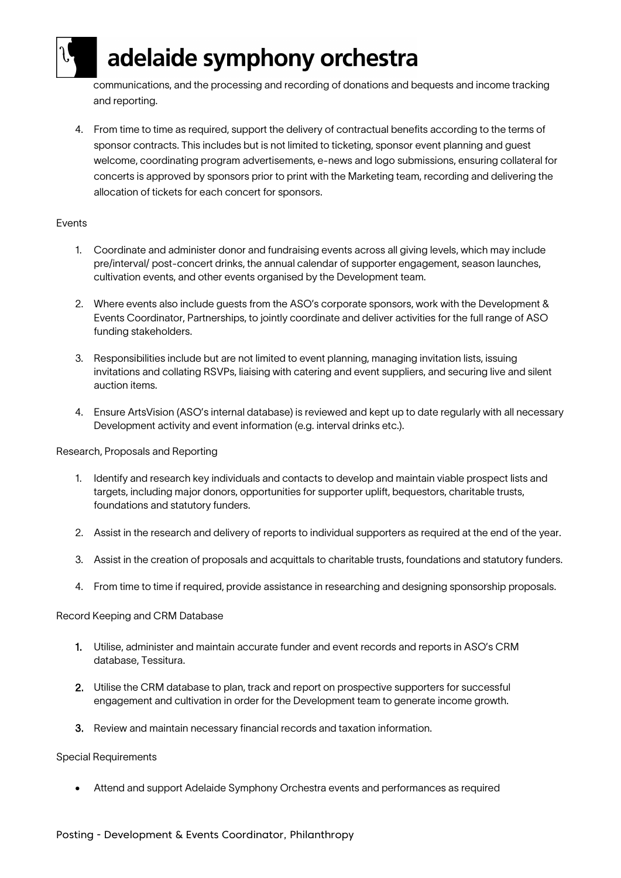## adelaide symphony orchestra

communications, and the processing and recording of donations and bequests and income tracking and reporting.

4. From time to time as required, support the delivery of contractual benefits according to the terms of sponsor contracts. This includes but is not limited to ticketing, sponsor event planning and guest welcome, coordinating program advertisements, e-news and logo submissions, ensuring collateral for concerts is approved by sponsors prior to print with the Marketing team, recording and delivering the allocation of tickets for each concert for sponsors.

#### Events

- 1. Coordinate and administer donor and fundraising events across all giving levels, which may include pre/interval/ post-concert drinks, the annual calendar of supporter engagement, season launches, cultivation events, and other events organised by the Development team.
- 2. Where events also include guests from the ASO's corporate sponsors, work with the Development & Events Coordinator, Partnerships, to jointly coordinate and deliver activities for the full range of ASO funding stakeholders.
- 3. Responsibilities include but are not limited to event planning, managing invitation lists, issuing invitations and collating RSVPs, liaising with catering and event suppliers, and securing live and silent auction items.
- 4. Ensure ArtsVision (ASO's internal database) is reviewed and kept up to date regularly with all necessary Development activity and event information (e.g. interval drinks etc.).

#### Research, Proposals and Reporting

- 1. Identify and research key individuals and contacts to develop and maintain viable prospect lists and targets, including major donors, opportunities for supporter uplift, bequestors, charitable trusts, foundations and statutory funders.
- 2. Assist in the research and delivery of reports to individual supporters as required at the end of the year.
- 3. Assist in the creation of proposals and acquittals to charitable trusts, foundations and statutory funders.
- 4. From time to time if required, provide assistance in researching and designing sponsorship proposals.

#### Record Keeping and CRM Database

- 1. Utilise, administer and maintain accurate funder and event records and reports in ASO's CRM database, Tessitura.
- 2. Utilise the CRM database to plan, track and report on prospective supporters for successful engagement and cultivation in order for the Development team to generate income growth.
- 3. Review and maintain necessary financial records and taxation information.

#### Special Requirements

• Attend and support Adelaide Symphony Orchestra events and performances as required